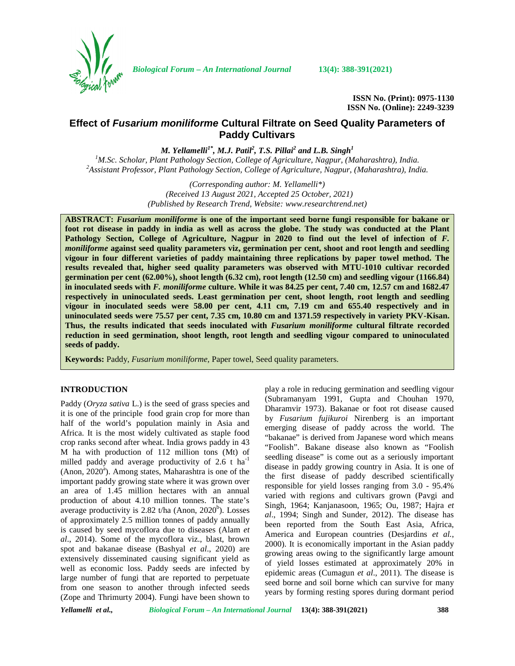

*Biological Forum – An International Journal* **13(4): 388-391(2021)**

**ISSN No. (Print): 0975-1130 ISSN No. (Online): 2249-3239**

# **Effect of** *Fusarium moniliforme* **Cultural Filtrate on Seed Quality Parameters of Paddy Cultivars**

*M. Yellamelli1\* , M.J. Patil<sup>2</sup> , T.S. Pillai<sup>2</sup> and L.B. Singh<sup>1</sup>*

<sup>1</sup>M.Sc. Scholar, Plant Pathology Section, College of Agriculture, Nagpur, (Maharashtra), India.<br><sup>2</sup>Assistant Professor, Plant Pathology Section, College of Agriculture, Nagpur, (Maharashtra), India.

*(Corresponding author: M. Yellamelli\*) (Received 13 August 2021, Accepted 25 October, 2021) (Published by Research Trend, Website: [www.researchtrend.net\)](www.researchtrend.net)*

**ABSTRACT:** *Fusarium moniliforme* **is one of the important seed borne fungi responsible for bakane or foot rot disease in paddy in india as well as across the globe. The study was conducted at the Plant Pathology Section, College of Agriculture, Nagpur in 2020 to find out the level of infection of** *F. moniliforme* **against seed quality parameters viz, germination per cent, shoot and root length and seedling vigour in four different varieties of paddy maintaining three replications by paper towel method. The results revealed that, higher seed quality parameters was observed with MTU-1010 cultivar recorded germination per cent (62.00%), shoot length (6.32 cm), root length (12.50 cm) and seedling vigour (1166.84) in inoculated seeds with** *F. moniliforme* **culture. While it was 84.25 per cent, 7.40 cm, 12.57 cm and 1682.47 respectively in uninoculated seeds. Least germination per cent, shoot length, root length and seedling vigour in inoculated seeds were 58.00 per cent, 4.11 cm, 7.19 cm and 655.40 respectively and in uninoculated seeds were 75.57 per cent, 7.35 cm, 10.80 cm and 1371.59 respectively in variety PKV-Kisan. Thus, the results indicated that seeds inoculated with** *Fusarium moniliforme* **cultural filtrate recorded reduction in seed germination, shoot length, root length and seedling vigour compared to uninoculated seeds of paddy.**

**Keywords:** Paddy, *Fusarium moniliforme,* Paper towel, Seed quality parameters.

#### **INTRODUCTION**

Paddy (*Oryza sativa* L.) is the seed of grass species and it is one of the principle food grain crop for more than half of the world's population mainly in Asia and Africa. It is the most widely cultivated as staple food crop ranks second after wheat. India grows paddy in 43 M ha with production of 112 million tons (Mt) of milled paddy and average productivity of  $2.6$  t ha<sup>-1</sup> (Anon,  $2020^{\circ}$ ). Among states, Maharashtra is one of the important paddy growing state where it was grown over an area of 1.45 million hectares with an annual production of about 4.10 million tonnes. The state's average productivity is 2.82 t/ha (Anon,  $2020<sup>b</sup>$ ). Losses of approximately 2.5 million tonnes of paddy annually is caused by seed mycoflora due to diseases (Alam *et al*., 2014). Some of the mycoflora viz., blast, brown spot and bakanae disease (Bashyal *et al*., 2020) are extensively disseminated causing significant yield as well as economic loss. Paddy seeds are infected by large number of fungi that are reported to perpetuate from one season to another through infected seeds (Zope and Thrimurty 2004). Fungi have been shown to

play a role in reducing germination and seedling vigour (Subramanyam 1991, Gupta and Chouhan 1970, Dharamvir 1973). Bakanae or foot rot disease caused by *Fusarium fujikuroi* Nirenberg is an important emerging disease of paddy across the world. The "bakanae" is derived from Japanese word which means "Foolish". Bakane disease also known as "Foolish seedling disease" is come out as a seriously important disease in paddy growing country in Asia. It is one of the first disease of paddy described scientifically responsible for yield losses ranging from 3.0 - 95.4% varied with regions and cultivars grown (Pavgi and Singh, 1964; Kanjanasoon, 1965; Ou, 1987; Hajra *et al*., 1994; Singh and Sunder, 2012). The disease has been reported from the South East Asia, Africa, America and European countries (Desjardins *et al.*, 2000). It is economically important in the Asian paddy growing areas owing to the significantly large amount of yield losses estimated at approximately 20% in epidemic areas (Cumagun *et al*., 2011). The disease is seed borne and soil borne which can survive for many years by forming resting spores during dormant period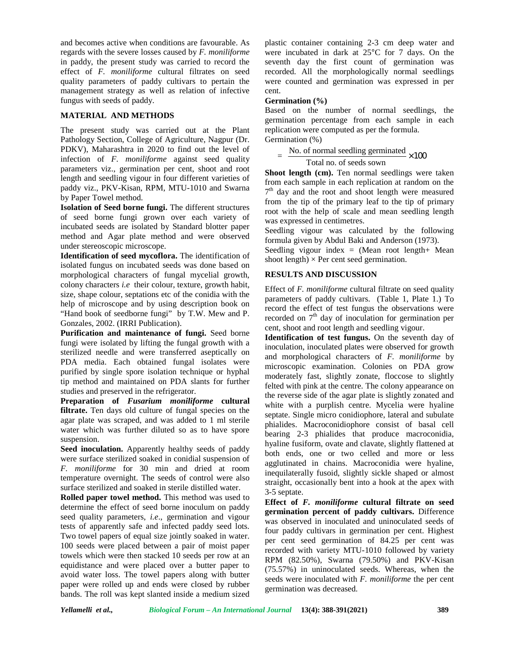and becomes active when conditions are favourable. As regards with the severe losses caused by *F. moniliforme* in paddy, the present study was carried to record the effect of *F. moniliforme* cultural filtrates on seed quality parameters of paddy cultivars to pertain the management strategy as well as relation of infective fungus with seeds of paddy.

## **MATERIAL AND METHODS**

The present study was carried out at the Plant Pathology Section, College of Agriculture, Nagpur (Dr. PDKV), Maharashtra in 2020 to find out the level of infection of *F. moniliforme* against seed quality parameters viz., germination per cent, shoot and root length and seedling vigour in four different varieties of paddy viz., PKV-Kisan, RPM, MTU-1010 and Swarna by Paper Towel method.

**Isolation of Seed borne fungi.** The different structures of seed borne fungi grown over each variety of incubated seeds are isolated by Standard blotter paper method and Agar plate method and were observed under stereoscopic microscope.

**Identification of seed mycoflora.** The identification of isolated fungus on incubated seeds was done based on morphological characters of fungal mycelial growth, colony characters *i.e* their colour, texture, growth habit, size, shape colour, septations etc of the conidia with the help of microscope and by using description book on "Hand book of seedborne fungi" by T.W. Mew and P. Gonzales, 2002. (IRRI Publication).

**Purification and maintenance of fungi.** Seed borne fungi were isolated by lifting the fungal growth with a sterilized needle and were transferred aseptically on PDA media. Each obtained fungal isolates were purified by single spore isolation technique or hyphal tip method and maintained on PDA slants for further studies and preserved in the refrigerator.

**Preparation of** *Fusarium moniliforme* **cultural filtrate.** Ten days old culture of fungal species on the agar plate was scraped, and was added to 1 ml sterile water which was further diluted so as to have spore suspension.

**Seed inoculation.** Apparently healthy seeds of paddy were surface sterilized soaked in conidial suspension of *F. moniliforme* for 30 min and dried at room temperature overnight. The seeds of control were also surface sterilized and soaked in sterile distilled water.

**Rolled paper towel method.** This method was used to determine the effect of seed borne inoculum on paddy seed quality parameters, *i.e*., germination and vigour tests of apparently safe and infected paddy seed lots. Two towel papers of equal size jointly soaked in water. 100 seeds were placed between a pair of moist paper towels which were then stacked 10 seeds per row at an equidistance and were placed over a butter paper to avoid water loss. The towel papers along with butter paper were rolled up and ends were closed by rubber bands. The roll was kept slanted inside a medium sized plastic container containing 2-3 cm deep water and were incubated in dark at 25°C for 7 days. On the seventh day the first count of germination was recorded. All the morphologically normal seedlings were counted and germination was expressed in per cent.

### **Germination (%)**

Based on the number of normal seedlings, the germination percentage from each sample in each replication were computed as per the formula. Germination (%)

No. of normal seedling germinated  $\times 100$ Total no. of seeds sown  $\times100$ 

**Shoot length (cm).** Ten normal seedlings were taken from each sample in each replication at random on the  $7<sup>th</sup>$  day and the root and shoot length were measured from the tip of the primary leaf to the tip of primary root with the help of scale and mean seedling length was expressed in centimetres.

Seedling vigour was calculated by the following formula given by Abdul Baki and Anderson (1973).

Seedling vigour index = (Mean root length+ Mean shoot length)  $\times$  Per cent seed germination.

## **RESULTS AND DISCUSSION**

Effect of *F. moniliforme* cultural filtrate on seed quality parameters of paddy cultivars. (Table 1, Plate 1.) To record the effect of test fungus the observations were recorded on  $7<sup>th</sup>$  day of inoculation for germination per cent, shoot and root length and seedling vigour.

**Identification of test fungus.** On the seventh day of inoculation, inoculated plates were observed for growth and morphological characters of *F. moniliforme* by microscopic examination. Colonies on PDA grow moderately fast, slightly zonate, floccose to slightly felted with pink at the centre. The colony appearance on the reverse side of the agar plate is slightly zonated and white with a purplish centre. Mycelia were hyaline septate. Single micro conidiophore, lateral and subulate phialides. Macroconidiophore consist of basal cell bearing 2-3 phialides that produce macroconidia, hyaline fusiform, ovate and clavate, slightly flattened at both ends, one or two celled and more or less agglutinated in chains. Macroconidia were hyaline, inequilaterally fusoid, slightly sickle shaped or almost straight, occasionally bent into a hook at the apex with 3-5 septate.

**Effect of** *F. moniliforme* **cultural filtrate on seed germination percent of paddy cultivars.** Difference was observed in inoculated and uninoculated seeds of four paddy cultivars in germination per cent. Highest per cent seed germination of 84.25 per cent was recorded with variety MTU-1010 followed by variety RPM (82.50%), Swarna (79.50%) and PKV-Kisan (75.57%) in uninoculated seeds. Whereas, when the seeds were inoculated with *F. moniliforme* the per cent germination was decreased.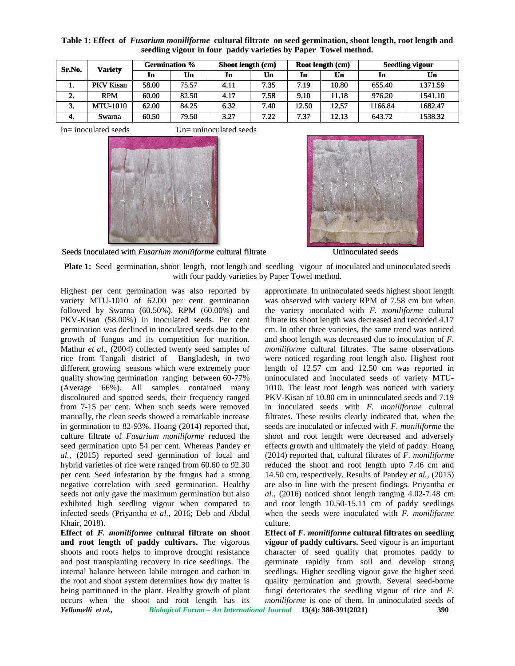| Sr.No.         | Varietv          | <b>Germination %</b> |       | Shoot length (cm) |      | Root length (cm) |       | <b>Seedling vigour</b> |         |
|----------------|------------------|----------------------|-------|-------------------|------|------------------|-------|------------------------|---------|
|                |                  | In                   | Un    | In                | Un   | In               | Un    | In                     | Un      |
| 1.             | <b>PKV Kisan</b> | 58.00                | 75.57 | 4.11              | 7.35 | 7.19             | 10.80 | 655.40                 | 1371.59 |
| ◠<br><b>L.</b> | <b>RPM</b>       | 60.00                | 82.50 | 4.17              | 7.58 | 9.10             | 11.18 | 976.20                 | 1541.10 |
| 3.             | <b>MTU-1010</b>  | 62.00                | 84.25 | 6.32              | 7.40 | 12.50            | 12.57 | 1166.84                | 1682.47 |
| -4.            | Swarna           | 60.50                | 79.50 | 3.27              | 7.22 | 7.37             | 12.13 | 643.72                 | 1538.32 |

**Table 1: Effect of** *Fusarium moniliforme* **cultural filtrate on seed germination, shoot length, root length and shoot seedling vigour in four paddy varieties by Paper Towel method.**

 $In=$  inoculated seeds  $Un=$  uninoculated seeds





Seeds Inoculated with *Fusarium moniliforme* cultural filtrate Uninoculated seeds

**Plate 1:** Seed germination, shoot length, root length and seedling vigour of inoculated and uninoculated seeds **1:**shoot root length with by Paper Highest and with four paddy varieties by Paper Towel method.

Highest per cent germination was also reported by variety MTU-1010 of 62.00 per cent germination followed by Swarna (60.50%), RPM (60.00%) and PKV-Kisan (58.00%) in inoculated seeds. Per cent<br>germination was declined in inoculated seeds due to the<br>growth of fungus and its competition for nutrition. germination was declined in inoculated seeds due to the growth of fungus and its competition for nutrition. Mathur *et al.*, (2004) collected twenty seed samples of *m* rice from Tangali district of Bangladesh, in two were different growing seasons which were extremely poor quality showing germination ranging between 60-77% (Average 66%). All samples contained many quality showing germination ranging between 60-77% unin<br>(Average 66%). All samples contained many 1010<br>discoloured and spotted seeds, their frequency ranged PKV from 7-15 per cent. When such seeds were removed manually, the clean seeds showed a remarkable increase in germination to 82-93%. Hoang (2014) reported that, culture filtrate of *Fusarium moniliforme* reduced the seed germination upto 54 per cent. Whereas Pandey *et al.,* (2015) reported seed germination of local and hybrid varieties of rice were ranged from 60.60 to 92.30 per cent. Seed infestation by the fungus had a strong negative correlation with seed germination. Healthy seeds not only gave the maximum germination but also exhibited high seedling vigour when compared to infected seeds (Priyantha *et al.*, 2016; Deb and Abdul Khair, 2018). 2018).Fo per cent. When such seeds were removed in ithe clean seeds showed a remarkable increase filtration to 82-93%. Hoang (2014) reported that, seed litrate of *Fusarium moniliforme* reduced the shootination upto 54 per cent

**Effect of** *F. moniliforme* **cultural filtrate on shoot ofand root length of paddy cultivars.** The vigorous shoots and roots helps to improve drought resistance and post transplanting recovery in rice seedlings. The internal balance between labile nitrogen and carbon in the root and shoot system determines how dry matter is being partitioned in the plant. Healthy growth of plant occurs when the shoot and root length has its

approximate. In uninoculated seeds highest shoot length was observed with variety RPM of 7.58 cm but when the variety inoculated with *F. moniliforme* cultural filtrate its shoot length was decreased and recorded 4.17 cm. In other three varieties, the same trend was noticed and shoot length was decreased due to inoculation of *F*. *moniliforme* cultural filtrates. The same observations were noticed regarding root length also. Highest root length of 12.57 cm and 12.50 cm was reported in uninoculated and inoculated seeds of variety MTU- 1010. The least root length was noticed with variety PKV-Kisan of 10.80 cm in uninoculated seeds and 7.19 in inoculated seeds with *F. moniliforme* cultural filtrates. These results clearly indicated that, when the seeds are inoculated or infected with *F. moniliforme* the shoot and root length were decreased and adversely effects growth and ultimately the yield of paddy. Hoang (2014) reported that, cultural filtrates of *F. moniliforme* reduced the shoot and root length upto 7.46 cm and 14.50 cm, respectively. Results of Pandey *et al.*, (2015) are also in line with the present findings. Priyantha *et al.,* (2016) noticed shoot length ranging 4.02-7.48 cm and root length 10.50-15.11 cm of paddy seedlings when the seeds were inoculated with *F. moniliforme* culture. HYU-1010 of 62.00 per cent germination was observed with variety RM of 7.58 cm but when  $\sim$  NS and the variety incoculated with K-moniliform cultural information was declined in incoculated see, Per cent Filmite is shown also in line with the present findings. Priya (2016) noticed shoot length ranging 4.02-7 root length 10.50-15.11 cm of paddy sen the seeds were inoculated with  $F$ . monume. fungi the seedling **Shoot** 

*Yellamelli et al., Biological Forum – An International Journal* **13(4): 388-391(2021) 390 Effect of** *F. moniliforme* **cultural filtrates on seedling ofseedling vigour of paddy cultivars.** Seed vigour is an important **of** character of seed quality that promotes paddy to germinate rapidly from soil and develop strong seedlings. Higher seedling vigour gave the higher seed quality germination and growth. Several seed-borne fungi deteriorates the seedling vigour of rice and *F. moniliforme* is one of them. In uninoculated seeds of